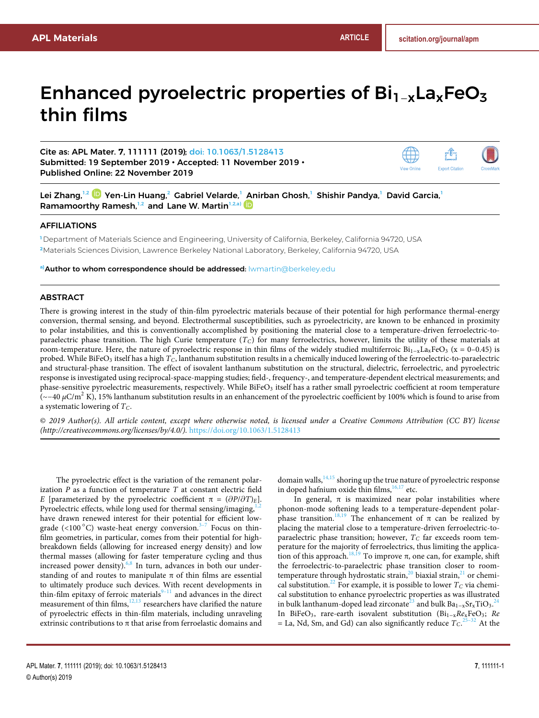# Enhanced pyroelectric properties of  $Bi_{1-x}La_xFeO_3$ thin films

Cite as: APL Mater. **7**, 111111 (2019); doi: 10.1063/1.5128413 Submitted: 19 September 2019 • Accepted: 11 November 2019 • Published Online: 22 November 2019



Lei Zhang,<sup>1,2</sup> D Yen-Lin Huang,<sup>2</sup> Gabriel Velarde,<sup>1</sup> Anirban Ghosh,<sup>1</sup> Shishir Pandya,<sup>1</sup> David Garcia,<sup>1</sup> Ramamoorthy Ramesh,<sup>1,2</sup> and Lane W. Martin<sup>1,2,a)</sup>

## AFFILIATIONS

**<sup>1</sup>** Department of Materials Science and Engineering, University of California, Berkeley, California 94720, USA **<sup>2</sup>**Materials Sciences Division, Lawrence Berkeley National Laboratory, Berkeley, California 94720, USA

**a)**Author to whom correspondence should be addressed: lwmartin@berkeley.edu

# ABSTRACT

There is growing interest in the study of thin-film pyroelectric materials because of their potential for high performance thermal-energy conversion, thermal sensing, and beyond. Electrothermal susceptibilities, such as pyroelectricity, are known to be enhanced in proximity to polar instabilities, and this is conventionally accomplished by positioning the material close to a temperature-driven ferroelectric-toparaelectric phase transition. The high Curie temperature (*TC*) for many ferroelectrics, however, limits the utility of these materials at room-temperature. Here, the nature of pyroelectric response in thin films of the widely studied multiferroic  $Bi_{1-x}La_xFeO_3$  (x = 0–0.45) is probed. While BiFeO<sub>3</sub> itself has a high  $T_C$ , lanthanum substitution results in a chemically induced lowering of the ferroelectric-to-paraelectric and structural-phase transition. The effect of isovalent lanthanum substitution on the structural, dielectric, ferroelectric, and pyroelectric response is investigated using reciprocal-space-mapping studies; field-, frequency-, and temperature-dependent electrical measurements; and phase-sensitive pyroelectric measurements, respectively. While BiFeO<sub>3</sub> itself has a rather small pyroelectric coefficient at room temperature (∼−40 *μ*C/m<sup>2</sup> K), 15% lanthanum substitution results in an enhancement of the pyroelectric coefficient by 100% which is found to arise from a systematic lowering of *TC*.

© *2019 Author(s). All article content, except where otherwise noted, is licensed under a Creative Commons Attribution (CC BY) license (http://creativecommons.org/licenses/by/4.0/).* https://doi.org/10.1063/1.5128413.,

The pyroelectric effect is the variation of the remanent polarization *P* as a function of temperature *T* at constant electric field *E* [parameterized by the pyroelectric coefficient  $\pi = (\partial P/\partial T)_E$ ]. Pyroelectric effects, while long used for thermal sensing/imaging, $1$ , have drawn renewed interest for their potential for efficient lowgrade (<100 °C) waste-heat energy conversion.<sup>3–7</sup> Focus on thinfilm geometries, in particular, comes from their potential for highbreakdown fields (allowing for increased energy density) and low thermal masses (allowing for faster temperature cycling and thus increased power density). $6,8$  In turn, advances in both our understanding of and routes to manipulate  $\pi$  of thin films are essential to ultimately produce such devices. With recent developments in thin-film epitaxy of ferroic materials $9-11$  and advances in the direct measurement of thin films, $12,13$  researchers have clarified the nature of pyroelectric effects in thin-film materials, including unraveling extrinsic contributions to  $\pi$  that arise from ferroelastic domains and

domain walls,  $14,15$  shoring up the true nature of pyroelectric response in doped hafnium oxide thin films,  $16,17$  etc.

In general,  $\pi$  is maximized near polar instabilities where phonon-mode softening leads to a temperature-dependent polarphase transition.<sup>18,19</sup> The enhancement of π can be realized by placing the material close to a temperature-driven ferroelectric-toparaelectric phase transition; however, *T<sup>C</sup>* far exceeds room temperature for the majority of ferroelectrics, thus limiting the application of this approach.<sup>18,19</sup> To improve π, one can, for example, shift the ferroelectric-to-paraelectric phase transition closer to roomtemperature through hydrostatic strain,<sup>20</sup> biaxial strain,<sup>21</sup> or chemical substitution.<sup>22</sup> For example, it is possible to lower  $T_C$  via chemical substitution to enhance pyroelectric properties as was illustrated in bulk lanthanum-doped lead zirconate<sup>23</sup> and bulk Ba<sub>1−x</sub>Sr<sub>x</sub>TiO<sub>3</sub>.<sup>24</sup> In BiFeO3, rare-earth isovalent substitution (Bi1−x*Re*xFeO3; *Re*  $=$  La, Nd, Sm, and Gd) can also significantly reduce  $T_C$ .<sup>25–32</sup> At the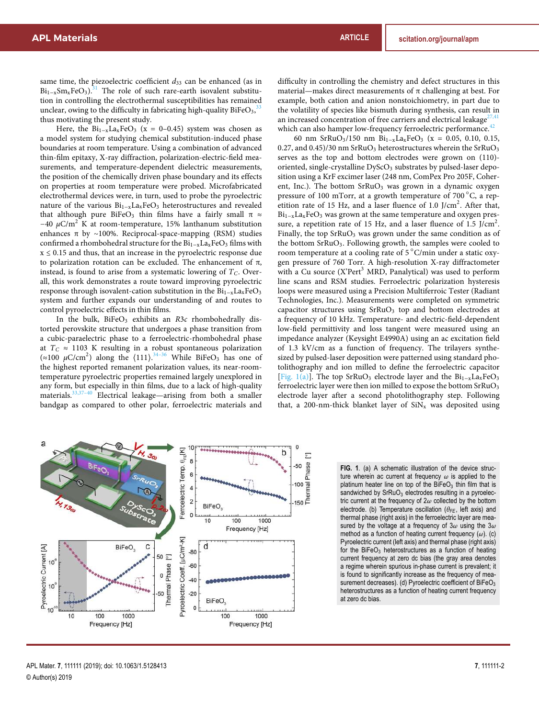same time, the piezoelectric coefficient  $d_{33}$  can be enhanced (as in  $Bi_{1-x}Sm_xFeO_3$ .<sup>31</sup> The role of such rare-earth isovalent substitution in controlling the electrothermal susceptibilities has remained unclear, owing to the difficulty in fabricating high-quality BiFeO<sub>3</sub>,  $^{33}$ thus motivating the present study.

Here, the  $Bi_{1-x}La_xFeO_3$  (x = 0–0.45) system was chosen as a model system for studying chemical substitution-induced phase boundaries at room temperature. Using a combination of advanced thin-film epitaxy, X-ray diffraction, polarization-electric-field measurements, and temperature-dependent dielectric measurements, the position of the chemically driven phase boundary and its effects on properties at room temperature were probed. Microfabricated electrothermal devices were, in turn, used to probe the pyroelectric nature of the various Bi<sub>1−x</sub>La<sub>x</sub>FeO<sub>3</sub> heterostructures and revealed that although pure BiFeO<sub>3</sub> thin films have a fairly small  $\pi \approx$  $-40 \mu$ C/m<sup>2</sup> K at room-temperature, 15% lanthanum substitution enhances π by ~100%. Reciprocal-space-mapping (RSM) studies confirmed a rhombohedral structure for the  $Bi_{1-x}La_xFeO_3$  films with  $x \leq 0.15$  and thus, that an increase in the pyroelectric response due to polarization rotation can be excluded. The enhancement of π, instead, is found to arise from a systematic lowering of *TC*. Overall, this work demonstrates a route toward improving pyroelectric response through isovalent-cation substitution in the  $Bi_{1-x}La_xFeO_3$ system and further expands our understanding of and routes to control pyroelectric effects in thin films.

In the bulk, BiFeO<sub>3</sub> exhibits an *R*3c rhombohedrally distorted perovskite structure that undergoes a phase transition from a cubic-paraelectric phase to a ferroelectric-rhombohedral phase at  $T_C \approx 1103$  K resulting in a robust spontaneous polarization  $(\approx 100 \mu C/cm^2)$  along the  $\langle 111 \rangle$ . While BiFeO<sub>3</sub> has one of the highest reported remanent polarization values, its near-roomtemperature pyroelectric properties remained largely unexplored in any form, but especially in thin films, due to a lack of high-quality materials.<sup>33,37-40</sup> Electrical leakage—arising from both a smaller Electrical leakage—arising from both a smaller bandgap as compared to other polar, ferroelectric materials and

difficulty in controlling the chemistry and defect structures in this material—makes direct measurements of  $\pi$  challenging at best. For example, both cation and anion nonstoichiometry, in part due to the volatility of species like bismuth during synthesis, can result in an increased concentration of free carriers and electrical leakage<sup>2</sup> which can also hamper low-frequency ferroelectric performance.<sup>42</sup>

60 nm SrRuO<sub>3</sub>/150 nm Bi<sub>1−x</sub>La<sub>x</sub>FeO<sub>3</sub> (x = 0.05, 0.10, 0.15, 0.27, and 0.45)/30 nm  $SrRuO<sub>3</sub>$  heterostructures wherein the  $SrRuO<sub>3</sub>$ serves as the top and bottom electrodes were grown on (110) oriented, single-crystalline  $DyScO<sub>3</sub>$  substrates by pulsed-laser deposition using a KrF excimer laser (248 nm, ComPex Pro 205F, Coherent, Inc.). The bottom  $SFRuO<sub>3</sub>$  was grown in a dynamic oxygen pressure of 100 mTorr, at a growth temperature of  $700^{\circ}$ C, a repetition rate of 15 Hz, and a laser fluence of 1.0 J/cm<sup>2</sup>. After that, Bi<sub>1-x</sub>La<sub>x</sub>FeO<sub>3</sub> was grown at the same temperature and oxygen pressure, a repetition rate of 15 Hz, and a laser fluence of  $1.5$  J/cm<sup>2</sup>. Finally, the top  $SrRuO<sub>3</sub>$  was grown under the same condition as of the bottom SrRuO3. Following growth, the samples were cooled to room temperature at a cooling rate of 5 °C/min under a static oxygen pressure of 760 Torr. A high-resolution X-ray diffractometer with a Cu source (X'Pert<sup>3</sup> MRD, Panalytical) was used to perform line scans and RSM studies. Ferroelectric polarization hysteresis loops were measured using a Precision Multiferroic Tester (Radiant Technologies, Inc.). Measurements were completed on symmetric capacitor structures using  $SrRuO<sub>3</sub>$  top and bottom electrodes at a frequency of 10 kHz. Temperature- and electric-field-dependent low-field permittivity and loss tangent were measured using an impedance analyzer (Keysight E4990A) using an ac excitation field of 1.3 kV/cm as a function of frequency. The trilayers synthesized by pulsed-laser deposition were patterned using standard photolithography and ion milled to define the ferroelectric capacitor [Fig. 1(a)]. The top SrRuO<sub>3</sub> electrode layer and the Bi<sub>1−x</sub>La<sub>x</sub>FeO<sub>3</sub> ferroelectric layer were then ion milled to expose the bottom SrRuO<sub>3</sub> electrode layer after a second photolithography step. Following that, a 200-nm-thick blanket layer of  $\text{SiN}_x$  was deposited using



**FIG. 1**. (a) A schematic illustration of the device structure wherein ac current at frequency *ω* is applied to the platinum heater line on top of the BiFeO<sub>3</sub> thin film that is sandwiched by  $SrRuO<sub>3</sub>$  electrodes resulting in a pyroelectric current at the frequency of 2*ω* collected by the bottom electrode. (b) Temperature oscillation (*θFE*, left axis) and thermal phase (right axis) in the ferroelectric layer are measured by the voltage at a frequency of 3*ω* using the 3*ω* method as a function of heating current frequency (*ω*). (c) Pyroelectric current (left axis) and thermal phase (right axis) for the  $BiFeO<sub>3</sub>$  heterostructures as a function of heating current frequency at zero dc bias (the gray area denotes a regime wherein spurious in-phase current is prevalent; it is found to significantly increase as the frequency of measurement decreases). (d) Pyroelectric coefficient of BiFeO<sub>3</sub> heterostructures as a function of heating current frequency at zero dc bias.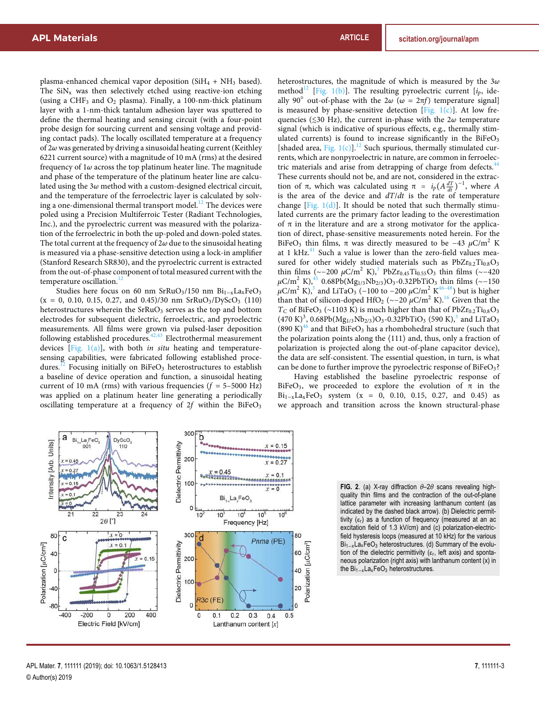plasma-enhanced chemical vapor deposition ( $SiH<sub>4</sub> + NH<sub>3</sub>$  based). The  $\text{SiN}_x$  was then selectively etched using reactive-ion etching (using a CHF<sup>3</sup> and O<sup>2</sup> plasma). Finally, a 100-nm-thick platinum layer with a 1-nm-thick tantalum adhesion layer was sputtered to define the thermal heating and sensing circuit (with a four-point probe design for sourcing current and sensing voltage and providing contact pads). The locally oscillated temperature at a frequency of 2*ω* was generated by driving a sinusoidal heating current (Keithley 6221 current source) with a magnitude of 10 mA (rms) at the desired frequency of 1*ω* across the top platinum heater line. The magnitude and phase of the temperature of the platinum heater line are calculated using the 3*ω* method with a custom-designed electrical circuit, and the temperature of the ferroelectric layer is calculated by solving a one-dimensional thermal transport model.<sup>12</sup> The devices were poled using a Precision Multiferroic Tester (Radiant Technologies, Inc.), and the pyroelectric current was measured with the polarization of the ferroelectric in both the up-poled and down-poled states. The total current at the frequency of 2*ω* due to the sinusoidal heating is measured via a phase-sensitive detection using a lock-in amplifier (Stanford Research SR830), and the pyroelectric current is extracted from the out-of-phase component of total measured current with the temperature oscillation.<sup>1</sup>

Studies here focus on 60 nm SrRuO3/150 nm Bi<sub>1−x</sub>La<sub>x</sub>FeO<sub>3</sub>  $(x = 0, 0.10, 0.15, 0.27, and 0.45)/30$  nm  $SrRuO<sub>3</sub>/DyScO<sub>3</sub>$  (110) heterostructures wherein the  $SrRuO<sub>3</sub>$  serves as the top and bottom electrodes for subsequent dielectric, ferroelectric, and pyroelectric measurements. All films were grown via pulsed-laser deposition following established procedures.<sup>42,43</sup> Electrothermal measurement devices [Fig. 1(a)], with both *in situ* heating and temperaturesensing capabilities, were fabricated following established procedures.<sup>12</sup> Focusing initially on BiFeO<sub>3</sub> heterostructures to establish a baseline of device operation and function, a sinusoidal heating current of 10 mA (rms) with various frequencies  $(f = 5-5000 \text{ Hz})$ was applied on a platinum heater line generating a periodically oscillating temperature at a frequency of  $2f$  within the BiFeO<sub>3</sub> heterostructures, the magnitude of which is measured by the 3*ω* method<sup>12</sup> [Fig. 1(b)]. The resulting pyroelectric current [ $i_p$ , ideally 90° out-of-phase with the  $2\omega (\omega = 2\pi f)$  temperature signal] is measured by phase-sensitive detection [Fig.  $1(c)$ ]. At low frequencies (≲30 Hz), the current in-phase with the 2*ω* temperature signal (which is indicative of spurious effects, e.g., thermally stimulated currents) is found to increase significantly in the  $BiFeO<sub>3</sub>$ [shaded area, Fig. 1(c)].<sup>12</sup> Such spurious, thermally stimulated currents, which are nonpyroelectric in nature, are common in ferroelectric materials and arise from detrapping of charge from defects.<sup>4</sup> These currents should not be, and are not, considered in the extraction of  $\pi$ , which was calculated using  $\pi = i_p(A \frac{dT}{dt})^{-1}$ , where *A* is the area of the device and *dT*/*dt* is the rate of temperature change [Fig.  $1(d)$ ]. It should be noted that such thermally stimulated currents are the primary factor leading to the overestimation of  $\pi$  in the literature and are a strong motivator for the application of direct, phase-sensitive measurements noted herein. For the BiFeO<sub>3</sub> thin films, π was directly measured to be  $-43$   $μC/m<sup>2</sup>$  K at 1 kHz. $^{41}$  Such a value is lower than the zero-field values measured for other widely studied materials such as  $PbZr_{0.2}Ti_{0.8}O_3$ thin films (~−200 µC/m<sup>2</sup> K),<sup>3</sup> PbZr<sub>0.45</sub>Ti<sub>0.55</sub>O<sub>3</sub> thin films (~−420 *μ*C/m<sup>2</sup> K),<sup>45</sup> 0.68Pb(Mg<sub>1/3</sub>Nb<sub>2/3</sub>)O<sub>3</sub>-0.32PbTiO<sub>3</sub> thin films (∼−150  $\mu$ C/m<sup>2</sup> K),<sup>3</sup> and LiTaO<sub>3</sub> (–100 to –200  $\mu$ C/m<sup>2</sup> K<sup>46–48</sup>) but is higher than that of silicon-doped HfO<sub>2</sub> (∼−20 µC/m<sup>2</sup> K).<sup>16</sup> Given that the  $T_C$  of BiFeO<sub>3</sub> (∼1103 K) is much higher than that of PbZr<sub>0.2</sub>Ti<sub>0.8</sub>O<sub>3</sub>  $(470 \text{ K})^3$ , 0.68Pb(Mg<sub>1/3</sub>Nb<sub>2/3</sub>)O<sub>3</sub>-0.32PbTiO<sub>3</sub> (590 K),<sup>3</sup> and LiTaO<sub>3</sub> (890 K)<sup>46</sup> and that BiFeO<sub>3</sub> has a rhombohedral structure (such that the polarization points along the ⟨111⟩ and, thus, only a fraction of polarization is projected along the out-of-plane capacitor device), the data are self-consistent. The essential question, in turn, is what can be done to further improve the pyroelectric response of BiFeO3?

Having established the baseline pyroelectric response of BiFeO<sub>3</sub>, we proceeded to explore the evolution of  $\pi$  in the Bi<sub>1-x</sub>La<sub>x</sub>FeO<sub>3</sub> system (x = 0, 0.10, 0.15, 0.27, and 0.45) as we approach and transition across the known structural-phase



**FIG. 2**. (a) X-ray diffraction *θ*–2*θ* scans revealing highquality thin films and the contraction of the out-of-plane lattice parameter with increasing lanthanum content (as indicated by the dashed black arrow). (b) Dielectric permittivity  $(\varepsilon_r)$  as a function of frequency (measured at an ac excitation field of 1.3 kV/cm) and (c) polarization-electricfield hysteresis loops (measured at 10 kHz) for the various Bi<sub>1−x</sub>La<sub>x</sub>FeO<sub>3</sub> heterostructures. (d) Summary of the evolution of the dielectric permittivity  $(\varepsilon_{r}$ , left axis) and spontaneous polarization (right axis) with lanthanum content (x) in the Bi<sub>1−x</sub>La<sub>x</sub>FeO<sub>3</sub> heterostructures.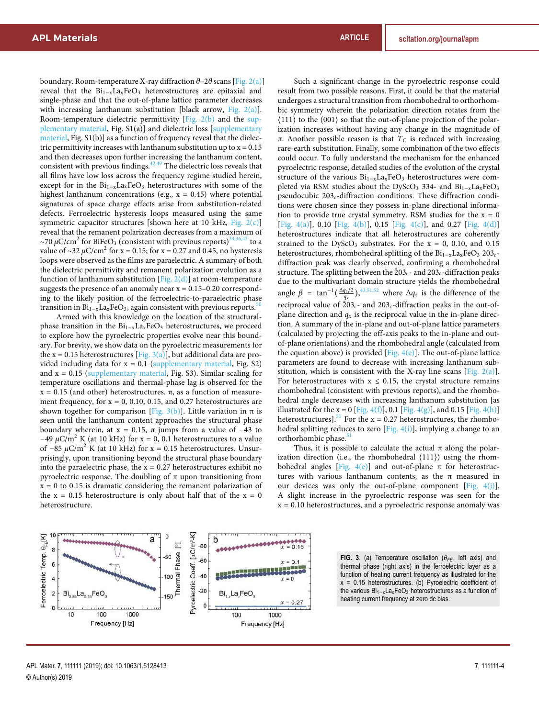boundary. Room-temperature X-ray diffraction *θ*–2*θ* scans [Fig. 2(a)] reveal that the  $Bi_{1-x}La_xFeO_3$  heterostructures are epitaxial and single-phase and that the out-of-plane lattice parameter decreases with increasing lanthanum substitution [black arrow, Fig.  $2(a)$ ]. Room-temperature dielectric permittivity [Fig. 2(b) and the supplementary material, Fig. S1(a)] and dielectric loss [supplementary material, Fig. S1(b)] as a function of frequency reveal that the dielectric permittivity increases with lanthanum substitution up to  $x = 0.15$ and then decreases upon further increasing the lanthanum content, consistent with previous findings.  $42,49$  The dielectric loss reveals that all films have low loss across the frequency regime studied herein, except for in the  $Bi_{1-x}La_xFeO_3$  heterostructures with some of the highest lanthanum concentrations (e.g.,  $x = 0.45$ ) where potential signatures of space charge effects arise from substitution-related defects. Ferroelectric hysteresis loops measured using the same symmetric capacitor structures [shown here at 10 kHz, Fig.  $2(c)$ ] reveal that the remanent polarization decreases from a maximum of ∼70 μC/cm<sup>2</sup> for BiFeO<sub>3</sub> (consistent with previous reports)<sup>34,36,42</sup> to a value of ~32 *μ*C/cm<sup>2</sup> for x = 0.15; for x = 0.27 and 0.45, no hysteresis loops were observed as the films are paraelectric. A summary of both the dielectric permittivity and remanent polarization evolution as a function of lanthanum substitution [Fig.  $2(d)$ ] at room-temperature suggests the presence of an anomaly near  $x = 0.15 - 0.20$  corresponding to the likely position of the ferroelectric-to-paraelectric phase transition in  $Bi_{1-x}La_xFeO_3$ , again consistent with previous reports.<sup>50</sup>

Armed with this knowledge on the location of the structuralphase transition in the Bi<sub>1−x</sub>La<sub>x</sub>FeO<sub>3</sub> heterostructures, we proceed to explore how the pyroelectric properties evolve near this boundary. For brevity, we show data on the pyroelectric measurements for the x = 0.15 heterostructures [Fig. 3(a)], but additional data are provided including data for  $x = 0.1$  (supplementary material, Fig. S2) and  $x = 0.15$  (supplementary material, Fig. S3). Similar scaling for temperature oscillations and thermal-phase lag is observed for the  $x = 0.15$  (and other) heterostructures.  $\pi$ , as a function of measurement frequency, for  $x = 0$ , 0.10, 0.15, and 0.27 heterostructures are shown together for comparison [Fig. 3(b)]. Little variation in  $\pi$  is seen until the lanthanum content approaches the structural phase boundary wherein, at  $x = 0.15$ , π jumps from a value of -43 to  $-49 \mu$ C/m<sup>2</sup> K (at 10 kHz) for x = 0, 0.1 heterostructures to a value of  $-85 \mu$ C/m<sup>2</sup> K (at 10 kHz) for x = 0.15 heterostructures. Unsurprisingly, upon transitioning beyond the structural phase boundary into the paraelectric phase, the  $x = 0.27$  heterostructures exhibit no pyroelectric response. The doubling of π upon transitioning from  $x = 0$  to 0.15 is dramatic considering the remanent polarization of the  $x = 0.15$  heterostructure is only about half that of the  $x = 0$ heterostructure.

Such a significant change in the pyroelectric response could result from two possible reasons. First, it could be that the material undergoes a structural transition from rhombohedral to orthorhombic symmetry wherein the polarization direction rotates from the ⟨111⟩ to the ⟨001⟩ so that the out-of-plane projection of the polarization increases without having any change in the magnitude of π. Another possible reason is that *T<sup>C</sup>* is reduced with increasing rare-earth substitution. Finally, some combination of the two effects could occur. To fully understand the mechanism for the enhanced pyroelectric response, detailed studies of the evolution of the crystal structure of the various  $Bi_{1-x}La_xFeO_3$  heterostructures were completed via RSM studies about the DyScO<sub>3</sub> 334- and Bi<sub>1−x</sub>La<sub>x</sub>FeO<sub>3</sub> pseudocubic 203*c*-diffraction conditions. These diffraction conditions were chosen since they possess in-plane directional information to provide true crystal symmetry. RSM studies for the  $x = 0$ [Fig. 4(a)], 0.10 [Fig. 4(b)], 0.15 [Fig. 4(c)], and 0.27 [Fig. 4(d)] heterostructures indicate that all heterostructures are coherently strained to the DyScO<sub>3</sub> substrates. For the  $x = 0$ , 0.10, and 0.15 heterostructures, rhombohedral splitting of the Bi<sub>1−x</sub>La<sub>x</sub>FeO<sub>3</sub> 203<sub>c</sub>diffraction peak was clearly observed, confirming a rhombohedral structure. The splitting between the  $203<sub>c</sub>$  and  $203<sub>c</sub>$ -diffraction peaks due to the multivariant domain structure yields the rhombohedral angle  $\beta$  =  $\tan^{-1}(\frac{\Delta q_z/2}{q_x})$ , <sup>43,51,52</sup> where  $\Delta q_z$  is the difference of the reciprocal value of  $\bar{2}03_c$ - and  $203_c$ -diffraction peaks in the out-ofplane direction and  $q_x$  is the reciprocal value in the in-plane direction. A summary of the in-plane and out-of-plane lattice parameters (calculated by projecting the off-axis peaks to the in-plane and outof-plane orientations) and the rhombohedral angle (calculated from the equation above) is provided [Fig.  $4(e)$ ]. The out-of-plane lattice parameters are found to decrease with increasing lanthanum substitution, which is consistent with the X-ray line scans [Fig.  $2(a)$ ]. For heterostructures with  $x \leq 0.15$ , the crystal structure remains rhombohedral (consistent with previous reports), and the rhombohedral angle decreases with increasing lanthanum substitution [as illustrated for the x = 0 [Fig. 4(f)], 0.1 [Fig. 4(g)], and 0.15 [Fig. 4(h)] heterostructures].<sup>51</sup> For the  $x = 0.27$  heterostructures, the rhombohedral splitting reduces to zero [Fig.  $4(i)$ ], implying a change to an orthorhombic phase.

Thus, it is possible to calculate the actual  $\pi$  along the polarization direction (i.e., the rhombohedral  $\langle 111 \rangle$ ) using the rhombohedral angles [Fig. 4(e)] and out-of-plane  $\pi$  for heterostructures with various lanthanum contents, as the  $\pi$  measured in our devices was only the out-of-plane component  $[Fig. 4(j)]$ . A slight increase in the pyroelectric response was seen for the  $x = 0.10$  heterostructures, and a pyroelectric response anomaly was



**FIG. 3**. (a) Temperature oscillation (*θFE*, left axis) and thermal phase (right axis) in the ferroelectric layer as a function of heating current frequency as illustrated for the  $x = 0.15$  heterostructures. (b) Pyroelectric coefficient of the various Bi<sub>1−x</sub>La<sub>x</sub>FeO<sub>3</sub> heterostructures as a function of heating current frequency at zero dc bias.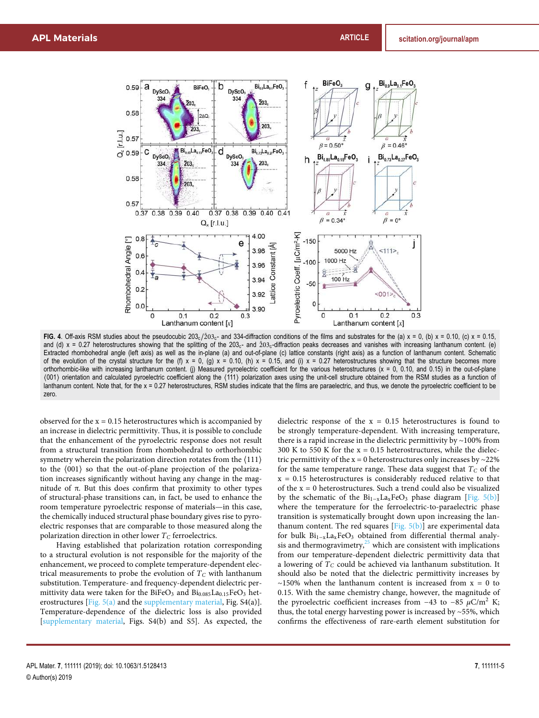

FIG. 4. Off-axis RSM studies about the pseudocubic  $203<sub>c</sub>/203<sub>c</sub>$  and 334-diffraction conditions of the films and substrates for the (a) x = 0, (b) x = 0.10, (c) x = 0.15, and (d)  $x = 0.27$  heterostructures showing that the splitting of the  $203<sub>c</sub>$ - and  $203<sub>c</sub>$ -diffraction peaks decreases and vanishes with increasing lanthanum content. (e) Extracted rhombohedral angle (left axis) as well as the in-plane (a) and out-of-plane (c) lattice constants (right axis) as a function of lanthanum content. Schematic of the evolution of the crystal structure for the (f)  $x = 0$ , (g)  $x = 0.10$ , (h)  $x = 0.15$ , and (i)  $x = 0.27$  heterostructures showing that the structure becomes more orthorhombic-like with increasing lanthanum content. (j) Measured pyroelectric coefficient for the various heterostructures (x = 0, 0.10, and 0.15) in the out-of-plane ⟨001⟩ orientation and calculated pyroelectric coefficient along the ⟨111⟩ polarization axes using the unit-cell structure obtained from the RSM studies as a function of lanthanum content. Note that, for the x = 0.27 heterostructures, RSM studies indicate that the films are paraelectric, and thus, we denote the pyroelectric coefficient to be zero.

observed for the  $x = 0.15$  heterostructures which is accompanied by an increase in dielectric permittivity. Thus, it is possible to conclude that the enhancement of the pyroelectric response does not result from a structural transition from rhombohedral to orthorhombic symmetry wherein the polarization direction rotates from the ⟨111⟩ to the ⟨001⟩ so that the out-of-plane projection of the polarization increases significantly without having any change in the magnitude of π. But this does confirm that proximity to other types of structural-phase transitions can, in fact, be used to enhance the room temperature pyroelectric response of materials—in this case, the chemically induced structural phase boundary gives rise to pyroelectric responses that are comparable to those measured along the polarization direction in other lower  $T_C$  ferroelectrics.

Having established that polarization rotation corresponding to a structural evolution is not responsible for the majority of the enhancement, we proceed to complete temperature-dependent electrical measurements to probe the evolution of  $T_C$  with lanthanum substitution. Temperature- and frequency-dependent dielectric permittivity data were taken for the BiFeO<sub>3</sub> and  $Bi<sub>0.085</sub>La<sub>0.15</sub>FeO<sub>3</sub>$  heterostructures [Fig.  $5(a)$  and the supplementary material, Fig.  $S4(a)$ ]. Temperature-dependence of the dielectric loss is also provided [supplementary material, Figs. S4(b) and S5]. As expected, the dielectric response of the  $x = 0.15$  heterostructures is found to be strongly temperature-dependent. With increasing temperature, there is a rapid increase in the dielectric permittivity by ∼100% from 300 K to 550 K for the  $x = 0.15$  heterostructures, while the dielectric permittivity of the  $x = 0$  heterostructures only increases by ~22% for the same temperature range. These data suggest that *T<sup>C</sup>* of the  $x = 0.15$  heterostructures is considerably reduced relative to that of the  $x = 0$  heterostructures. Such a trend could also be visualized by the schematic of the  $Bi_{1-x}La_xFeO_3$  phase diagram [Fig. 5(b)] where the temperature for the ferroelectric-to-paraelectric phase transition is systematically brought down upon increasing the lanthanum content. The red squares  $[Fig. 5(b)]$  are experimental data for bulk  $Bi_{1-x}La_xFeO_3$  obtained from differential thermal analysis and thermogravimetry, $25$  which are consistent with implications from our temperature-dependent dielectric permittivity data that a lowering of *T<sup>C</sup>* could be achieved via lanthanum substitution. It should also be noted that the dielectric permittivity increases by  $~\sim$ 150% when the lanthanum content is increased from  $x = 0$  to 0.15. With the same chemistry change, however, the magnitude of the pyroelectric coefficient increases from  $-43$  to  $-85 \mu C/m^2 K$ ; thus, the total energy harvesting power is increased by ∼55%, which confirms the effectiveness of rare-earth element substitution for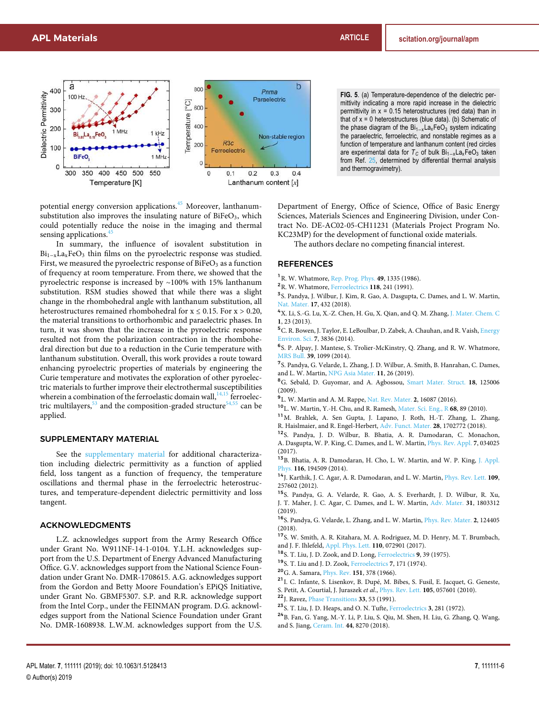

potential energy conversion applications.<sup>45</sup> Moreover, lanthanumsubstitution also improves the insulating nature of  $BiFeO<sub>3</sub>$ , which could potentially reduce the noise in the imaging and thermal sensing applications.<sup>4</sup>

In summary, the influence of isovalent substitution in Bi<sub>1-x</sub>La<sub>x</sub>FeO<sub>3</sub> thin films on the pyroelectric response was studied. First, we measured the pyroelectric response of  $BiFeO<sub>3</sub>$  as a function of frequency at room temperature. From there, we showed that the pyroelectric response is increased by ∼100% with 15% lanthanum substitution. RSM studies showed that while there was a slight change in the rhombohedral angle with lanthanum substitution, all heterostructures remained rhombohedral for  $x \le 0.15$ . For  $x > 0.20$ , the material transitions to orthorhombic and paraelectric phases. In turn, it was shown that the increase in the pyroelectric response resulted not from the polarization contraction in the rhombohedral direction but due to a reduction in the Curie temperature with lanthanum substitution. Overall, this work provides a route toward enhancing pyroelectric properties of materials by engineering the Curie temperature and motivates the exploration of other pyroelectric materials to further improve their electrothermal susceptibilities wherein a combination of the ferroelastic domain wall,  $14,15$  ferroelectric multilayers,  $53$  and the composition-graded structure  $54,55$  can be applied.

# SUPPLEMENTARY MATERIAL

See the supplementary material for additional characterization including dielectric permittivity as a function of applied field, loss tangent as a function of frequency, the temperature oscillations and thermal phase in the ferroelectric heterostructures, and temperature-dependent dielectric permittivity and loss tangent.

### ACKNOWLEDGMENTS

L.Z. acknowledges support from the Army Research Office under Grant No. W911NF-14-1-0104. Y.L.H. acknowledges support from the U.S. Department of Energy Advanced Manufacturing Office. G.V. acknowledges support from the National Science Foundation under Grant No. DMR-1708615. A.G. acknowledges support from the Gordon and Betty Moore Foundation's EPiQS Initiative, under Grant No. GBMF5307. S.P. and R.R. acknowledge support from the Intel Corp., under the FEINMAN program. D.G. acknowledges support from the National Science Foundation under Grant No. DMR-1608938. L.W.M. acknowledges support from the U.S.

**FIG. 5**. (a) Temperature-dependence of the dielectric permittivity indicating a more rapid increase in the dielectric permittivity in  $x = 0.15$  heterostructures (red data) than in that of  $x = 0$  heterostructures (blue data). (b) Schematic of the phase diagram of the  $Bi_{1-x}La_xFeO_3$  system indicating the paraelectric, ferroelectric, and nonstable regimes as a function of temperature and lanthanum content (red circles are experimental data for *T*<sub>*C*</sub> of bulk Bi<sub>1−x</sub>La<sub>x</sub>FeO<sub>3</sub> taken from Ref. 25, determined by differential thermal analysis and thermogravimetry).

Department of Energy, Office of Science, Office of Basic Energy Sciences, Materials Sciences and Engineering Division, under Contract No. DE-AC02-05-CH11231 (Materials Project Program No. KC23MP) for the development of functional oxide materials.

The authors declare no competing financial interest.

### REFERENCES

- <sup>1</sup>R. W. Whatmore, Rep. Prog. Phys. **49**, 1335 (1986).
- <sup>2</sup>R. W. Whatmore, Ferroelectrics **118**, 241 (1991).

<sup>3</sup> S. Pandya, J. Wilbur, J. Kim, R. Gao, A. Dasgupta, C. Dames, and L. W. Martin, Nat. Mater. **17**, 432 (2018).

<sup>4</sup>X. Li, S.-G. Lu, X.-Z. Chen, H. Gu, X. Qian, and Q. M. Zhang, J. Mater. Chem. C **1**, 23 (2013).

<sup>5</sup> C. R. Bowen, J. Taylor, E. LeBoulbar, D. Zabek, A. Chauhan, and R. Vaish, Energy Environ. Sci. **7**, 3836 (2014).

6 S. P. Alpay, J. Mantese, S. Trolier-McKinstry, Q. Zhang, and R. W. Whatmore, MRS Bull. **39**, 1099 (2014).

<sup>7</sup>S. Pandya, G. Velarde, L. Zhang, J. D. Wilbur, A. Smith, B. Hanrahan, C. Dames, and L. W. Martin, NPG Asia Mater. **11**, 26 (2019).

<sup>8</sup>G. Sebald, D. Guyomar, and A. Agbossou, Smart Mater. Struct. **18**, 125006 (2009).

9 L. W. Martin and A. M. Rappe, Nat. Rev. Mater. **2**, 16087 (2016).

<sup>10</sup>L. W. Martin, Y.-H. Chu, and R. Ramesh, Mater. Sci. Eng., R **68**, 89 (2010).

<sup>11</sup>M. Brahlek, A. Sen Gupta, J. Lapano, J. Roth, H.-T. Zhang, L. Zhang, R. Haislmaier, and R. Engel-Herbert, Adv. Funct. Mater. **28**, 1702772 (2018).

- <sup>12</sup>S. Pandya, J. D. Wilbur, B. Bhatia, A. R. Damodaran, C. Monachon, A. Dasgupta, W. P. King, C. Dames, and L. W. Martin, Phys. Rev. Appl. **7**, 034025 (2017).
- <sup>13</sup>B. Bhatia, A. R. Damodaran, H. Cho, L. W. Martin, and W. P. King, J. Appl. Phys. **116**, 194509 (2014).
- <sup>14</sup>J. Karthik, J. C. Agar, A. R. Damodaran, and L. W. Martin, Phys. Rev. Lett. **109**, 257602 (2012).
- <sup>15</sup>S. Pandya, G. A. Velarde, R. Gao, A. S. Everhardt, J. D. Wilbur, R. Xu, J. T. Maher, J. C. Agar, C. Dames, and L. W. Martin, Adv. Mater. **31**, 1803312 (2019).
- <sup>16</sup>S. Pandya, G. Velarde, L. Zhang, and L. W. Martin, Phys. Rev. Mater. **2**, 124405 (2018).
- <sup>17</sup>S. W. Smith, A. R. Kitahara, M. A. Rodriguez, M. D. Henry, M. T. Brumbach, and J. F. Ihlefeld, Appl. Phys. Lett. **110**, 072901 (2017).
- <sup>18</sup>S. T. Liu, J. D. Zook, and D. Long, Ferroelectrics **9**, 39 (1975).
- <sup>19</sup>S. T. Liu and J. D. Zook, Ferroelectrics **7**, 171 (1974).
- <sup>20</sup>G. A. Samara, Phys. Rev. **151**, 378 (1966).
- <sup>21</sup>I. C. Infante, S. Lisenkov, B. Dupé, M. Bibes, S. Fusil, E. Jacquet, G. Geneste,
- S. Petit, A. Courtial, J. Juraszek *et al.*, Phys. Rev. Lett. **105**, 057601 (2010).
- <sup>22</sup>J. Ravez, Phase Transitions **33**, 53 (1991).
- <sup>23</sup>S. T. Liu, J. D. Heaps, and O. N. Tufte, Ferroelectrics **3**, 281 (1972).

<sup>24</sup>B. Fan, G. Yang, M.-Y. Li, P. Liu, S. Qiu, M. Shen, H. Liu, G. Zhang, Q. Wang, and S. Jiang, Ceram. Int. **44**, 8270 (2018).